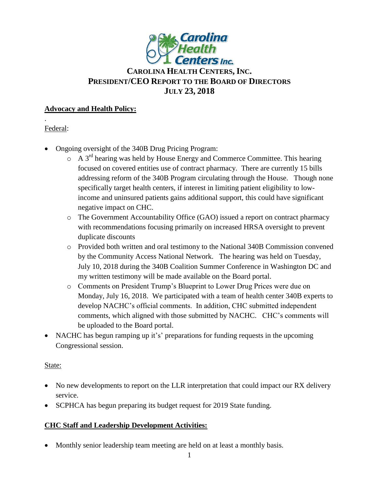

# **CAROLINA HEALTH CENTERS,INC. PRESIDENT/CEO REPORT TO THE BOARD OF DIRECTORS JULY 23, 2018**

#### **Advocacy and Health Policy:**

# Federal:

.

- Ongoing oversight of the 340B Drug Pricing Program:
	- $\circ$  A 3<sup>rd</sup> hearing was held by House Energy and Commerce Committee. This hearing focused on covered entities use of contract pharmacy. There are currently 15 bills addressing reform of the 340B Program circulating through the House. Though none specifically target health centers, if interest in limiting patient eligibility to lowincome and uninsured patients gains additional support, this could have significant negative impact on CHC.
	- o The Government Accountability Office (GAO) issued a report on contract pharmacy with recommendations focusing primarily on increased HRSA oversight to prevent duplicate discounts
	- o Provided both written and oral testimony to the National 340B Commission convened by the Community Access National Network. The hearing was held on Tuesday, July 10, 2018 during the 340B Coalition Summer Conference in Washington DC and my written testimony will be made available on the Board portal.
	- o Comments on President Trump's Blueprint to Lower Drug Prices were due on Monday, July 16, 2018. We participated with a team of health center 340B experts to develop NACHC's official comments. In addition, CHC submitted independent comments, which aligned with those submitted by NACHC. CHC's comments will be uploaded to the Board portal.
- NACHC has begun ramping up it's' preparations for funding requests in the upcoming Congressional session.

#### State:

- No new developments to report on the LLR interpretation that could impact our RX delivery service.
- SCPHCA has begun preparing its budget request for 2019 State funding.

# **CHC Staff and Leadership Development Activities:**

• Monthly senior leadership team meeting are held on at least a monthly basis.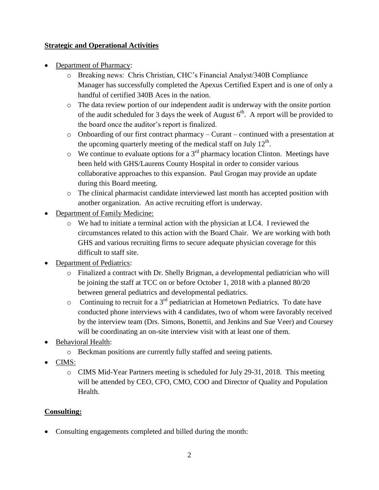# **Strategic and Operational Activities**

- Department of Pharmacy:
	- o Breaking news: Chris Christian, CHC's Financial Analyst/340B Compliance Manager has successfully completed the Apexus Certified Expert and is one of only a handful of certified 340B Aces in the nation.
	- o The data review portion of our independent audit is underway with the onsite portion of the audit scheduled for 3 days the week of August  $6<sup>th</sup>$ . A report will be provided to the board once the auditor's report is finalized.
	- o Onboarding of our first contract pharmacy Curant continued with a presentation at the upcoming quarterly meeting of the medical staff on July  $12<sup>th</sup>$ .
	- $\circ$  We continue to evaluate options for a 3<sup>rd</sup> pharmacy location Clinton. Meetings have been held with GHS/Laurens County Hospital in order to consider various collaborative approaches to this expansion. Paul Grogan may provide an update during this Board meeting.
	- o The clinical pharmacist candidate interviewed last month has accepted position with another organization. An active recruiting effort is underway.
- Department of Family Medicine:
	- $\circ$  We had to initiate a terminal action with the physician at LC4. I reviewed the circumstances related to this action with the Board Chair. We are working with both GHS and various recruiting firms to secure adequate physician coverage for this difficult to staff site.
- Department of Pediatrics:
	- o Finalized a contract with Dr. Shelly Brigman, a developmental pediatrician who will be joining the staff at TCC on or before October 1, 2018 with a planned 80/20 between general pediatrics and developmental pediatrics.
	- $\circ$  Continuing to recruit for a 3<sup>rd</sup> pediatrician at Hometown Pediatrics. To date have conducted phone interviews with 4 candidates, two of whom were favorably received by the interview team (Drs. Simons, Bonettii, and Jenkins and Sue Veer) and Coursey will be coordinating an on-site interview visit with at least one of them.
- Behavioral Health:
	- o Beckman positions are currently fully staffed and seeing patients.
- CIMS:
	- o CIMS Mid-Year Partners meeting is scheduled for July 29-31, 2018. This meeting will be attended by CEO, CFO, CMO, COO and Director of Quality and Population Health.

# **Consulting:**

Consulting engagements completed and billed during the month: